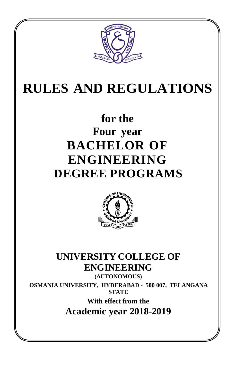

# **RULES AND REGULATIONS**

## **for the Four year BACHELOR OF ENGINEERING DEGREE PROGRAMS**



## **UNIVERSITY COLLEGE OF ENGINEERING (AUTONOMOUS)**

**OSMANIA UNIVERSITY, HYDERABAD - 500 007, TELANGANA STATE**

> **With effect from the Academic year 2018-2019**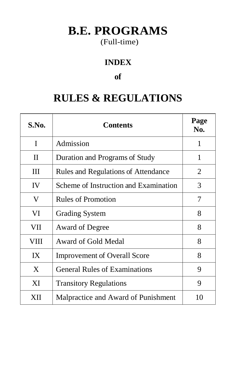## **B.E. PROGRAMS**

## (Full-time)

## **INDEX**

#### **of**

## **RULES & REGULATIONS**

| S.No.        | <b>Contents</b>                            | Page<br>N <sub>0</sub> . |
|--------------|--------------------------------------------|--------------------------|
| I            | Admission                                  | 1                        |
| $\mathbf{I}$ | Duration and Programs of Study             | 1                        |
| Ш            | <b>Rules and Regulations of Attendance</b> | $\overline{2}$           |
| IV           | Scheme of Instruction and Examination      | 3                        |
| V            | <b>Rules of Promotion</b>                  | 7                        |
| VI           | <b>Grading System</b>                      | 8                        |
| VII          | <b>Award of Degree</b>                     | 8                        |
| VIII         | Award of Gold Medal                        | 8                        |
| IX           | <b>Improvement of Overall Score</b>        | 8                        |
| X            | <b>General Rules of Examinations</b>       | 9                        |
| XI           | <b>Transitory Regulations</b>              |                          |
| XII          | Malpractice and Award of Punishment        | 10                       |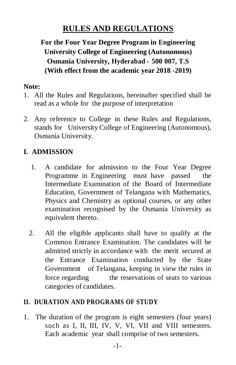## **RULES AND REGULATIONS**

## **For the Four Year Degree Program in Engineering University College of Engineering (Autonomous) Osmania University, Hyderabad - 500 007, T.S (With effect from the academic year 2018 -2019)**

#### **Note:**

- 1. All the Rules and Regulations, hereinafter specified shall be read as a whole for the purpose of interpretation
- 2. Any reference to College in these Rules and Regulations, stands for University College of Engineering (Autonomous), Osmania University.

## **I. ADMISSION**

- 1. A candidate for admission to the Four Year Degree Programme in Engineering must have passed the Intermediate Examination of the Board of Intermediate Education, Government of Telangana with Mathematics, Physics and Chemistry as optional courses, or any other examination recognised by the Osmania University as equivalent thereto.
- 2. All the eligible applicants shall have to qualify at the Common Entrance Examination. The candidates will be admitted strictly in accordance with the merit secured at the Entrance Examination conducted by the State Government of Telangana, keeping in view the rules in force regarding the reservations of seats to various categories of candidates.

#### **II. DURATION AND PROGRAMS OF STUDY**

1. The duration of the program is eight semesters (four years) such as I, II, III, IV, V, VI, VII and VIII semesters. Each academic year shall comprise of two semesters.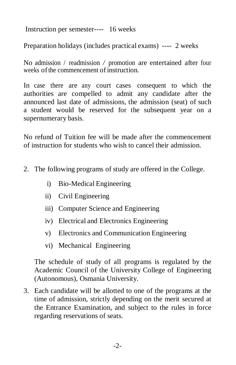Instruction per semester---- 16 weeks

Preparation holidays (includes practical exams) ---- 2 weeks

No admission / readmission */* promotion are entertained after four weeks of the commencement of instruction.

In case there are any court cases consequent to which the authorities are compelled to admit any candidate after the announced last date of admissions, the admission (seat) of such a student would be reserved for the subsequent year on a supernumerary basis.

No refund of Tuition fee will be made after the commencement of instruction for students who wish to cancel their admission.

- 2. The following programs of study are offered in the College.
	- i) Bio-Medical Engineering
	- ii) Civil Engineering
	- iii) Computer Science and Engineering
	- iv) Electrical and Electronics Engineering
	- v) Electronics and Communication Engineering
	- vi) Mechanical Engineering

The schedule of study of all programs is regulated by the Academic Council of the University College of Engineering (Autonomous), Osmania University.

3. Each candidate will be allotted to one of the programs at the time of admission, strictly depending on the merit secured at the Entrance Examination, and subject to the rules in force regarding reservations of seats.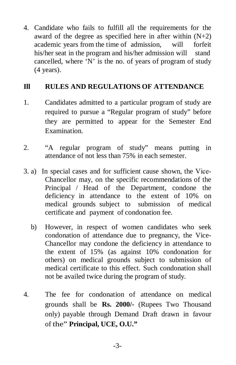4. Candidate who fails to fulfill all the requirements for the award of the degree as specified here in after within  $(N+2)$ academic years from the time of admission, will forfeit his/her seat in the program and his/her admission will stand cancelled, where 'N' is the no. of years of program of study (4 years).

#### **Ill RULES AND REGULATIONS OF ATTENDANCE**

- 1. Candidates admitted to a particular program of study are required to pursue a "Regular program of study" before they are permitted to appear for the Semester End Examination.
- 2. "A regular program of study" means putting in attendance of not less than 75% in each semester.
- 3. a) In special cases and for sufficient cause shown, the Vice-Chancellor may, on the specific recommendations of the Principal / Head of the Department, condone the deficiency in attendance to the extent of 10% on medical grounds subject to submission of medical certificate and payment of condonation fee.
	- b) However, in respect of women candidates who seek condonation of attendance due to pregnancy, the Vice-Chancellor may condone the deficiency in attendance to the extent of 15% (as against 10% condonation for others) on medical grounds subject to submission of medical certificate to this effect. Such condonation shall not be availed twice during the program of study.
- 4. The fee for condonation of attendance on medical grounds shall be **Rs. 2000/-** (Rupees Two Thousand only) payable through Demand Draft drawn in favour of the" **Principal, UCE, O.U."**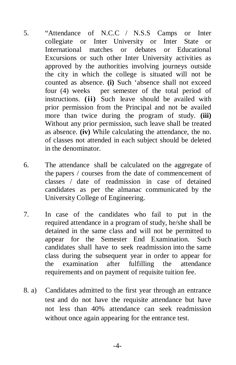- 5. "Attendance of N.C.C / N.S.S Camps or Inter collegiate or Inter University or Inter State or International matches or debates or Educational Excursions or such other Inter University activities as approved by the authorities involving journeys outside the city in which the college is situated will not be counted as absence. **(i)** Such 'absence shall not exceed four (4) weeks per semester of the total period of instructions. **(ii)** Such leave should be availed with prior permission from the Principal and not be availed more than twice during the program of study. **(iii)** Without any prior permission, such leave shall be treated as absence. **(iv)** While calculating the attendance, the no. of classes not attended in each subject should be deleted in the denominator.
- 6. The attendance shall be calculated on the aggregate of the papers / courses from the date of commencement of classes / date of readmission in case of detained candidates as per the almanac communicated by the University College of Engineering.
- 7. In case of the candidates who fail to put in the required attendance in a program of study, he/she shall be detained in the same class and will not be permitted to appear for the Semester End Examination. Such candidates shall have to seek readmission into the same class during the subsequent year in order to appear for the examination after fulfilling the attendance requirements and on payment of requisite tuition fee.
- 8. a) Candidates admitted to the first year through an entrance test and do not have the requisite attendance but have not less than 40% attendance can seek readmission without once again appearing for the entrance test.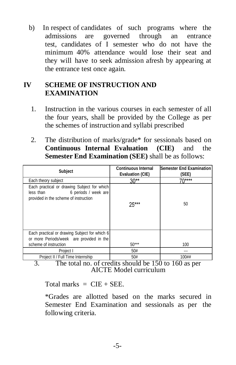b) In respect of candidates of such programs where the admissions are governed through an entrance test, candidates of I semester who do not have the minimum 40% attendance would lose their seat and they will have to seek admission afresh by appearing at the entrance test once again.

#### **IV SCHEME OF INSTRUCTION AND EXAMINATION**

- 1. Instruction in the various courses in each semester of all the four years, shall be provided by the College as per the schemes of instruction and syllabi prescribed
- 2. The distribution of marks/grade\* for sessionals based on **Continuous Internal Evaluation (CIE)** and the **Semester End Examination (SEE)** shall be as follows:

| Subject                                                                                                                   | <b>Continuous Internal</b><br><b>Evaluation (CIE)</b> | Semester End Examination<br>(SEE) |
|---------------------------------------------------------------------------------------------------------------------------|-------------------------------------------------------|-----------------------------------|
| Each theory subject                                                                                                       | $30**$                                                | 70****                            |
| Each practical or drawing Subject for which<br>6 periods / week are<br>less than<br>provided in the scheme of instruction | 25***                                                 | 50                                |
| Each practical or drawing Subject for which 6<br>or more Periods/week are provided in the                                 |                                                       |                                   |
| scheme of instruction                                                                                                     | $50***$                                               | 100                               |
| Project I                                                                                                                 | 50#                                                   |                                   |
| Project II / Full Time Internship                                                                                         | 50#                                                   | 100#                              |

3. The total no. of credits should be 150 to 160 as per AICTE Model curriculum

Total marks  $=$  CIE + SEE.

\*Grades are allotted based on the marks secured in Semester End Examination and sessionals as per the following criteria.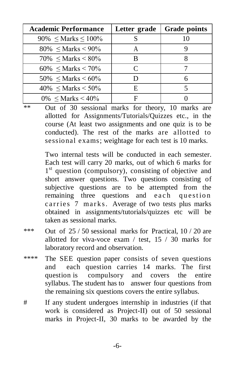| <b>Academic Performance</b>  | Letter grade | <b>Grade points</b> |
|------------------------------|--------------|---------------------|
| 90% $\leq$ Marks $\leq$ 100% |              |                     |
| 80% $\leq$ Marks < 90%       |              |                     |
| $70\% \leq Marks \leq 80\%$  | В            |                     |
| $60\%$ < Marks < 70%         | C            |                     |
| $50\%$ < Marks < 60%         |              | 6                   |
| $40\%$ < Marks < 50%         | E            |                     |
| $0\%$ < Marks < 40%          | Ħ            |                     |

\*\* Out of 30 sessional marks for theory, 10 marks are allotted for Assignments/Tutorials/Quizzes etc., in the course (At least two assignments and one quiz is to be conducted). The rest of the marks are allotted to sessional exams; weightage for each test is 10 marks.

> Two internal tests will be conducted in each semester. Each test will carry 20 marks, out of which 6 marks for 1<sup>st</sup> question (compulsory), consisting of objective and short answer questions. Two questions consisting of subjective questions are to be attempted from the remaining three questions and each question c arries 7 marks. Average of two tests plus marks obtained in assignments/tutorials/quizzes etc will be taken as sessional marks.

- \*\*\* Out of  $25 / 50$  sessional marks for Practical, 10 / 20 are allotted for viva-voce exam / test, 15 / 30 marks for laboratory record and observation.
- \*\*\*\* The SEE question paper consists of seven questions and each question carries 14 marks. The first question is compulsory and covers the entire syllabus. The student has to answer four questions from the remaining six questions covers the entire syllabus.
- # If any student undergoes internship in industries (if that work is considered as Project-II) out of 50 sessional marks in Project-II, 30 marks to be awarded by the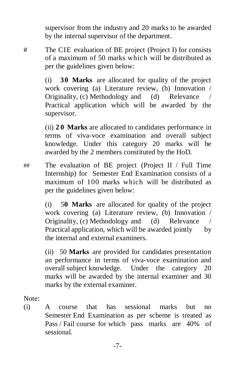supervisor from the industry and 20 marks to be awarded by the internal supervisor of the department.

# The CIE evaluation of BE project (Project I) for consists of a maximum of 50 marks which will be distributed as per the guidelines given below:

> (i) **30 Marks** are allocated for quality of the project work covering (a) Literature review, (b) Innovation / Originality, (c) Methodology and (d) Relevance / Practical application which will be awarded by the supervisor.

> (ii) **2 0 Marks** are allocated to candidates performance in terms of viva-voce examination and overall subject knowledge. Under this category 20 marks will be awarded by the 2 members constituted by the HoD.

## The evaluation of BE project (Project II / Full Time Internship) for Semester End Examination consists of a maximum of 100 marks which will be distributed as per the guidelines given below:

> (i) 5**0 Marks** are allocated for quality of the project work covering (a) Literature review, (b) Innovation / Originality, (c) Methodology and (d) Relevance / Practical application, which will be awarded jointly by the internal and external examiners.

> (ii) 50 **Marks** are provided for candidates presentation an performance in terms of viva-voce examination and overall subject knowledge. Under the category 20 marks will be awarded by the internal examiner and 30 marks by the external examiner.

Note:

(i) A course that has sessional marks but no Semester End Examination as per scheme is treated as Pass / Fail course for which pass marks are 40% of sessional.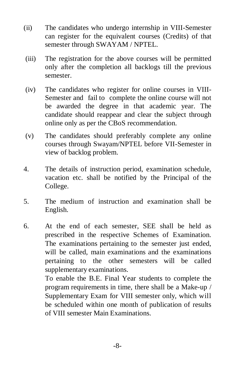- (ii) The candidates who undergo internship in VIII-Semester can register for the equivalent courses (Credits) of that semester through SWAYAM / NPTEL.
- (iii) The registration for the above courses will be permitted only after the completion all backlogs till the previous semester.
- (iv) The candidates who register for online courses in VIII-Semester and fail to complete the online course will not be awarded the degree in that academic year. The candidate should reappear and clear the subject through online only as per the CBoS recommendation.
- (v) The candidates should preferably complete any online courses through Swayam/NPTEL before VII-Semester in view of backlog problem.
- 4. The details of instruction period, examination schedule, vacation etc. shall be notified by the Principal of the College.
- 5. The medium of instruction and examination shall be English.
- 6. At the end of each semester, SEE shall be held as prescribed in the respective Schemes of Examination. The examinations pertaining to the semester just ended, will be called, main examinations and the examinations pertaining to the other semesters will be called supplementary examinations.

To enable the B.E. Final Year students to complete the program requirements in time, there shall be a Make-up / Supplementary Exam for VIII semester only, which will be scheduled within one month of publication of results of VIII semester Main Examinations.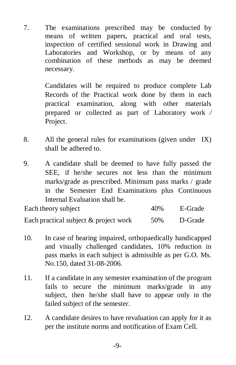7. The examinations prescribed may be conducted by means of written papers, practical and oral tests, inspection of certified sessional work in Drawing and Laboratories and Workshop, or by means of any combination of these methods as may be deemed necessary.

> Candidates will be required to produce complete Lab Records of the Practical work done by them in each practical examination, along with other materials prepared or collected as part of Laboratory work */* Project.

- 8. All the general rules for examinations (given under IX) shall be adhered to.
- 9. A candidate shall be deemed to have fully passed the SEE, if he/she secures not less than the minimum marks/grade as prescribed. Minimum pass marks / grade in the Semester End Examinations plus Continuous Internal Evaluation shall be.

Each theory subject 40% E-Grade Each practical subject & project work 50% D-Grade

- 10. In case of hearing impaired, orthopaedically handicapped and visually challenged candidates, 10% reduction in pass marks in each subject is admissible as per G.O. Ms. No.150, dated 31-08-2006.
- 11. If a candidate in any semester examination of the program fails to secure the minimum marks/grade in any subject, then he/she shall have to appear only in the failed subject of the semester.
- 12. A candidate desires to have revaluation can apply for it as per the institute norms and notification of Exam Cell.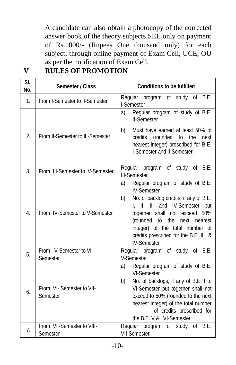A candidate can also obtain a photocopy of the corrected answer book of the theory subjects SEE only on payment of Rs.1000/- (Rupees One thousand only) for each subject, through online payment of Exam Cell, UCE, OU as per the notification of Exam Cell.

| SI.<br>No.     | Semester / Class                       | <b>Conditions to be fulfilled</b>                                                                                                                                                                                                                                                                                    |
|----------------|----------------------------------------|----------------------------------------------------------------------------------------------------------------------------------------------------------------------------------------------------------------------------------------------------------------------------------------------------------------------|
| 1 <sub>1</sub> | From I-Semester to II-Semester         | Regular program of study of B.E.<br>I-Semester                                                                                                                                                                                                                                                                       |
| 2.             | From II-Semester to III-Semester       | Regular program of study of B.E.<br>a)<br><b>II-Semester</b><br>b)<br>Must have earned at least 50% of<br>credits<br>(rounded to the<br>next<br>nearest integer) prescribed for B.E.<br>I-Semester and II-Semester.                                                                                                  |
| 3.             | From III-Semester to IV-Semester       | Regular program of study of B.E.<br><b>III-Semester</b>                                                                                                                                                                                                                                                              |
| 4.             | From IV-Semester to V-Semester         | Regular program of study of B.E.<br>a)<br><b>IV-Semester</b><br>No. of backlog credits, if any of B.E.<br>b)<br>I, II, III and IV-Semester put<br>together shall not exceed 50%<br>(rounded to the next<br>nearest<br>integer) of the total number of<br>credits prescribed for the B.E. III &<br><b>IV-Semester</b> |
| 5.             | From V-Semester to VI-<br>Semester     | Regular program of study of B.E.<br>V-Semester                                                                                                                                                                                                                                                                       |
| 6.             | From VI- Semester to VII-<br>Semester  | Regular program of study of B.E.<br>a)<br><b>VI-Semester</b><br>b)<br>No. of backlogs, if any of B.E. I to<br>VI-Semester put together shall not<br>exceed to 50% (rounded to the next<br>nearest integer) of the total number<br>of credits prescribed for<br>the B.E. V & VI-Semester                              |
| 7.             | From VII-Semester to VIII-<br>Semester | Regular program of study of B.E.<br><b>VII-Semester</b>                                                                                                                                                                                                                                                              |

#### **V RULES OF PROMOTION**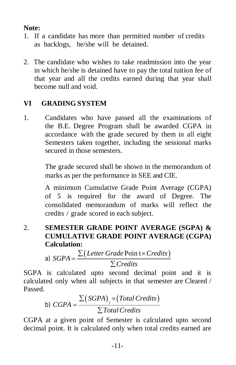### **Note:**

- 1. If a candidate has more than permitted number of credits as backlogs, he/she will be detained.
- 2. The candidate who wishes to take readmission into the year in which he/she is detained have to pay the total tuition fee of that year and all the credits earned during that year shall become null and void.

## **VI GRADING SYSTEM**

1. Candidates who have passed all the examinations of the B.E. Degree Program shall be awarded CGPA in accordance with the grade secured by them in all eight Semesters taken together, including the sessional marks secured in those semesters.

> The grade secured shall be shown in the memorandum of marks as per the performance in SEE and CIE.

> A minimum Cumulative Grade Point Average (CGPA) of 5 is required for the award of Degree. The consolidated memorandum of marks will reflect the credits / grade scored in each subject.

2. **SEMESTER GRADE POINT AVERAGE (SGPA) & CUMULATIVE GRADE POINT AVERAGE (CGPA) Calculation:**

a) 
$$
SGPA = \frac{\sum (Letter Grade \, Point \times Credits)}{\sum Credits}
$$

SGPA is calculated upto second decimal point and it is calculated only when all subjects in that semester are Cleared / Passed.

b) 
$$
CGPA = \frac{\sum (SGPA)_j \times (Total Credits)}{\sum Total Credits}
$$

CGPA at a given point of Semester is calculated upto second decimal point. It is calculated only when total credits earned are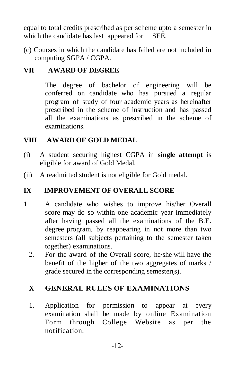equal to total credits prescribed as per scheme upto a semester in which the candidate has last appeared for SEE.

(c) Courses in which the candidate has failed are not included in computing SGPA / CGPA.

#### **VII AWARD OF DEGREE**

The degree of bachelor of engineering will be conferred on candidate who has pursued a regular program of study of four academic years as hereinafter prescribed in the scheme of instruction and has passed all the examinations as prescribed in the scheme of examinations.

#### **VIII AWARD OF GOLD MEDAL**

- (i) A student securing highest CGPA in **single attempt** is eligible for award of Gold Medal.
- (ii) A readmitted student is not eligible for Gold medal.

#### **IX IMPROVEMENT OF OVERALL SCORE**

- 1. A candidate who wishes to improve his/her Overall score may do so within one academic year immediately after having passed all the examinations of the B.E. degree program, by reappearing in not more than two semesters (all subjects pertaining to the semester taken together) examinations.
	- 2. For the award of the Overall score, he/she will have the benefit of the higher of the two aggregates of marks / grade secured in the corresponding semester(s).

#### **X GENERAL RULES OF EXAMINATIONS**

 1. Application for permission to appear at every examination shall be made by online Examination Form through College Website as per the notification.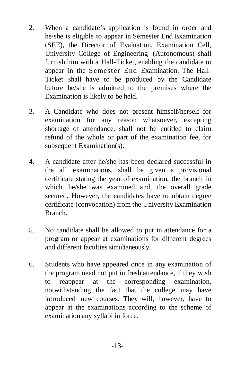- 2. When a candidate's application is found in order and he/she is eligible to appear in Semester End Examination (SEE), the Director of Evaluation, Examination Cell, University College of Engineering (Autonomous) shall furnish him with a Hall-Ticket, enabling the candidate to appear in the Semester End Examination. The Hall-Ticket shall have to be produced by the Candidate before he/she is admitted to the premises where the Examination is likely to be held.
- 3. A Candidate who does not present himself/herself for examination for any reason whatsoever, excepting shortage of attendance, shall not be entitled to claim refund of the whole or part of the examination fee, for subsequent Examination(s).
- 4. A candidate after he/she has been declared successful in the all examinations, shall be given a provisional certificate stating the year of examination, the branch in which he/she was examined and, the overall grade secured. However, the candidates have to obtain degree certificate (convocation) from the University Examination Branch.
- 5. No candidate shall be allowed to put in attendance for a program or appear at examinations for different degrees and different faculties simultaneously.
- 6. Students who have appeared once in any examination of the program need not put in fresh attendance, if they wish to reappear at the corresponding examination, notwithstanding the fact that the college may have introduced new courses. They will, however, have to appear at the examinations according to the scheme of examination any syllabi in force.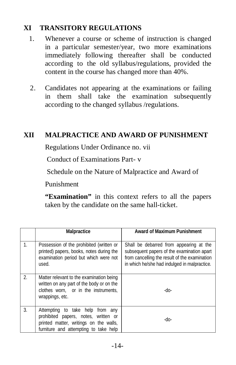#### **XI TRANSITORY REGULATIONS**

- 1. Whenever a course or scheme of instruction is changed in a particular semester/year, two more examinations immediately following thereafter shall be conducted according to the old syllabus/regulations, provided the content in the course has changed more than 40%.
- 2. Candidates not appearing at the examinations or failing in them shall take the examination subsequently according to the changed syllabus /regulations.

## **XII MALPRACTICE AND AWARD OF PUNISHMENT**

Regulations Under Ordinance no. vii

Conduct of Examinations Part- v

Schedule on the Nature of Malpractice and Award of

Punishment

**"Examination"** in this context refers to all the papers taken by the candidate on the same hall-ticket.

|                | <b>Malpractice</b>                                                                                                                                             | <b>Award of Maximum Punishment</b>                                                                                                                                                     |
|----------------|----------------------------------------------------------------------------------------------------------------------------------------------------------------|----------------------------------------------------------------------------------------------------------------------------------------------------------------------------------------|
| $\mathbf{1}$ . | Possession of the prohibited (written or<br>printed) papers, books, notes during the<br>examination period but which were not<br>used.                         | Shall be debarred from appearing at the<br>subsequent papers of the examination apart<br>from cancelling the result of the examination<br>in which he/she had indulged in malpractice. |
| 2.             | Matter relevant to the examination being<br>written on any part of the body or on the<br>clothes worn, or in the instruments,<br>wrappings, etc.               | -do-                                                                                                                                                                                   |
| 3.             | Attempting to take help from<br>any<br>prohibited papers, notes, written or<br>printed matter, writings on the walls,<br>furniture and attempting to take help | -do-                                                                                                                                                                                   |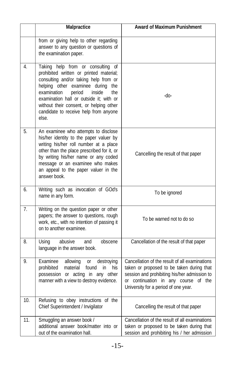|     | <b>Malpractice</b>                                                                                                                                                                                                                                                                                                                              | <b>Award of Maximum Punishment</b>                                                                                                                                                                                                |
|-----|-------------------------------------------------------------------------------------------------------------------------------------------------------------------------------------------------------------------------------------------------------------------------------------------------------------------------------------------------|-----------------------------------------------------------------------------------------------------------------------------------------------------------------------------------------------------------------------------------|
|     | from or giving help to other regarding<br>answer to any question or questions of<br>the examination paper.                                                                                                                                                                                                                                      |                                                                                                                                                                                                                                   |
| 4.  | Taking help from or consulting of<br>prohibited written or printed material;<br>consulting and/or taking help from or<br>helping other examinee during<br>the<br>examination<br>period<br>inside<br>the<br>examination hall or outside it; with or<br>without their consent, or helping other<br>candidate to receive help from anyone<br>else. | -do-                                                                                                                                                                                                                              |
| 5.  | An examinee who attempts to disclose<br>his/her identity to the paper valuer by<br>writing his/her roll number at a place<br>other than the place prescribed for it, or<br>by writing his/her name or any coded<br>message or an examinee who makes<br>an appeal to the paper valuer in the<br>answer book.                                     | Cancelling the result of that paper                                                                                                                                                                                               |
| 6.  | Writing such as invocation of GOd's<br>name in any form.                                                                                                                                                                                                                                                                                        | To be ignored                                                                                                                                                                                                                     |
| 7.  | Writing on the question paper or other<br>papers; the answer to questions, rough<br>work, etc., with no intention of passing it<br>on to another examinee.                                                                                                                                                                                      | To be warned not to do so                                                                                                                                                                                                         |
| 8.  | abusive<br>Using<br>obscene<br>and<br>language in the answer book.                                                                                                                                                                                                                                                                              | Cancellation of the result of that paper                                                                                                                                                                                          |
| 9.  | Examinee<br>allowing<br>destroying<br>0r<br>prohibited<br>material<br>found<br>his<br>in<br>possession or acting in any other<br>manner with a view to destroy evidence.                                                                                                                                                                        | Cancellation of the result of all examinations<br>taken or proposed to be taken during that<br>session and prohibiting his/her admission to<br>continuation in any course<br>of the<br>0r<br>University for a period of one year. |
| 10. | Refusing to obey instructions of the<br>Chief Superintendent / Invigilator                                                                                                                                                                                                                                                                      | Cancelling the result of that paper                                                                                                                                                                                               |
| 11. | Smuggling an answer book /<br>additional answer book/matter into or<br>out of the examination hall.                                                                                                                                                                                                                                             | Cancellation of the result of all examinations<br>taken or proposed to be taken during that<br>session and prohibiting his / her admission                                                                                        |